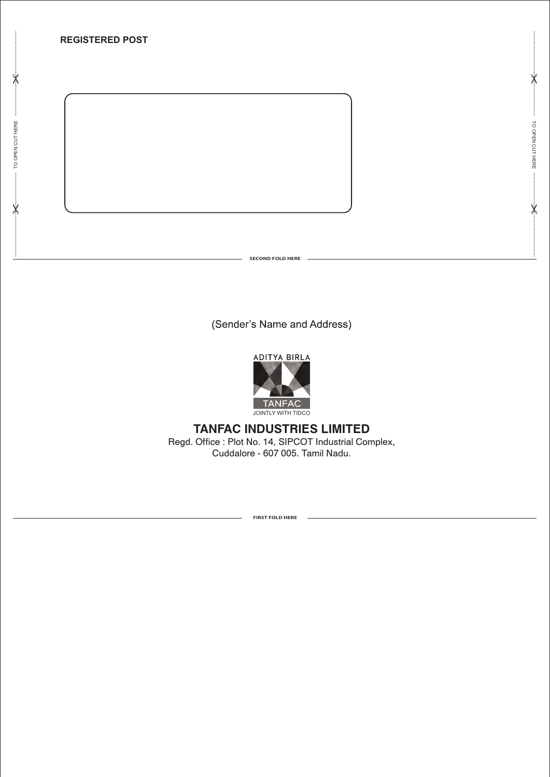

(Sender's Name and Address)



# **TANFAC INDUSTRIES LIMITED** Regd. Office : Plot No. 14, SIPCOT Industrial Complex,

Cuddalore - 607 005. Tamil Nadu.

**FIRST FOLD HERE**